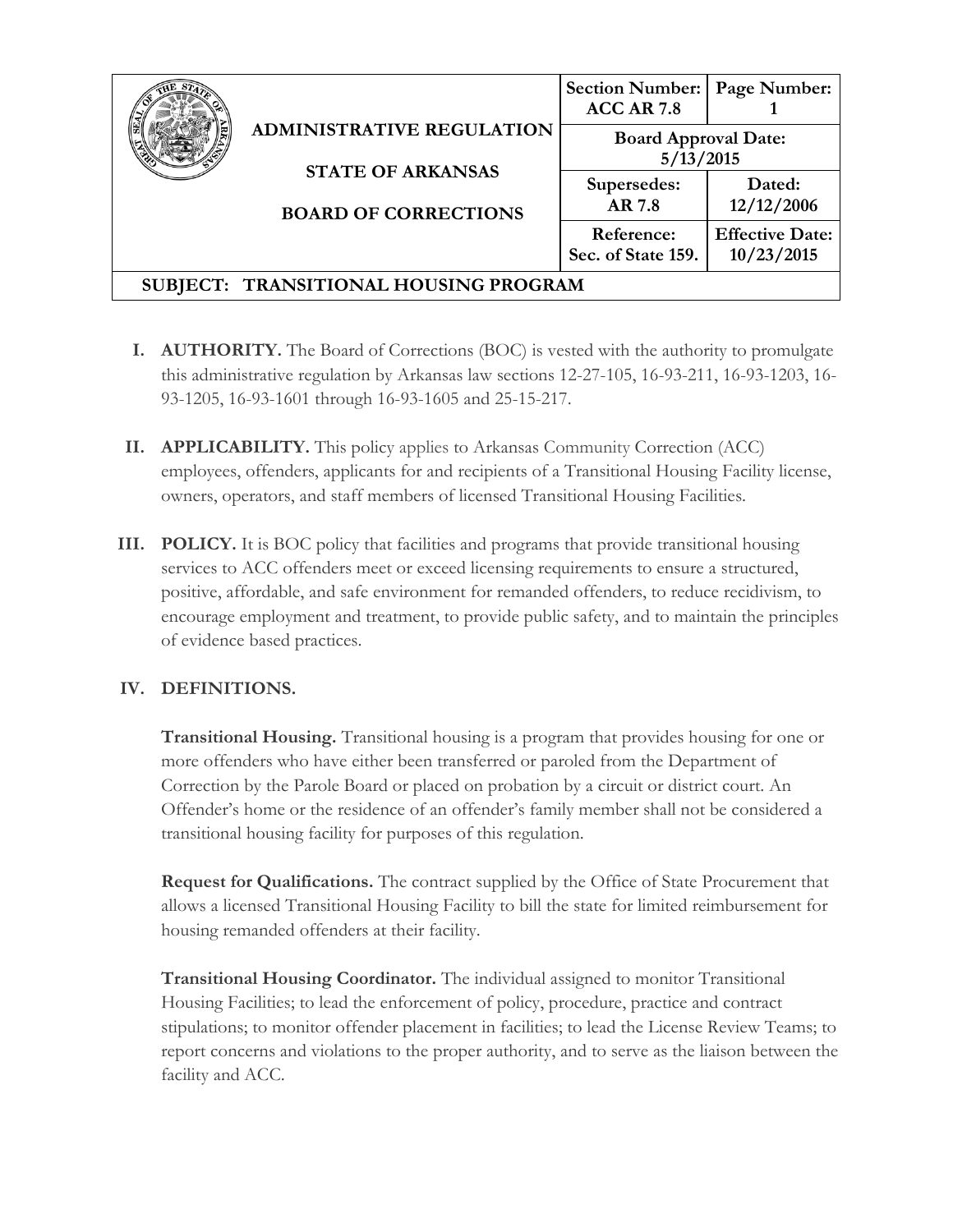|                                       | <b>ADMINISTRATIVE REGULATION</b><br><b>STATE OF ARKANSAS</b><br><b>BOARD OF CORRECTIONS</b> | <b>Section Number:</b><br><b>ACC AR 7.8</b> | Page Number:                         |
|---------------------------------------|---------------------------------------------------------------------------------------------|---------------------------------------------|--------------------------------------|
|                                       |                                                                                             | <b>Board Approval Date:</b><br>5/13/2015    |                                      |
|                                       |                                                                                             | Supersedes:<br>AR 7.8                       | Dated:<br>12/12/2006                 |
|                                       |                                                                                             | Reference:<br>Sec. of State 159.            | <b>Effective Date:</b><br>10/23/2015 |
| SUBJECT: TRANSITIONAL HOUSING PROGRAM |                                                                                             |                                             |                                      |

- **I. AUTHORITY.** The Board of Corrections (BOC) is vested with the authority to promulgate this administrative regulation by Arkansas law sections 12-27-105, 16-93-211, 16-93-1203, 16- 93-1205, 16-93-1601 through 16-93-1605 and 25-15-217.
- **II. APPLICABILITY.** This policy applies to Arkansas Community Correction (ACC) employees, offenders, applicants for and recipients of a Transitional Housing Facility license, owners, operators, and staff members of licensed Transitional Housing Facilities.
- **III. POLICY.** It is BOC policy that facilities and programs that provide transitional housing services to ACC offenders meet or exceed licensing requirements to ensure a structured, positive, affordable, and safe environment for remanded offenders, to reduce recidivism, to encourage employment and treatment, to provide public safety, and to maintain the principles of evidence based practices.

# **IV. DEFINITIONS.**

**Transitional Housing.** Transitional housing is a program that provides housing for one or more offenders who have either been transferred or paroled from the Department of Correction by the Parole Board or placed on probation by a circuit or district court. An Offender's home or the residence of an offender's family member shall not be considered a transitional housing facility for purposes of this regulation.

**Request for Qualifications.** The contract supplied by the Office of State Procurement that allows a licensed Transitional Housing Facility to bill the state for limited reimbursement for housing remanded offenders at their facility.

**Transitional Housing Coordinator.** The individual assigned to monitor Transitional Housing Facilities; to lead the enforcement of policy, procedure, practice and contract stipulations; to monitor offender placement in facilities; to lead the License Review Teams; to report concerns and violations to the proper authority, and to serve as the liaison between the facility and ACC.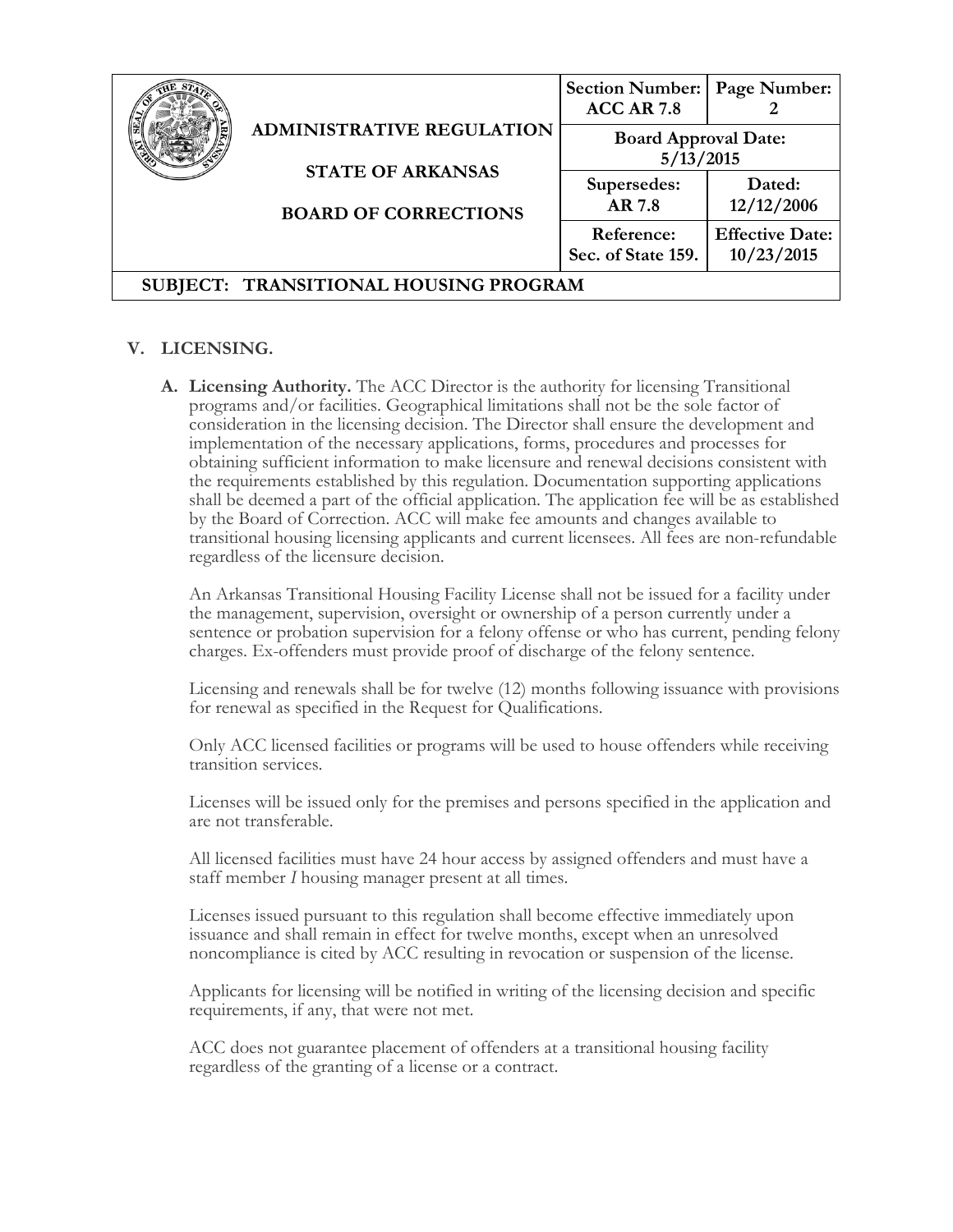|                                       |                                                                                             | <b>Section Number:</b><br><b>ACC AR 7.8</b> | Page Number:                         |
|---------------------------------------|---------------------------------------------------------------------------------------------|---------------------------------------------|--------------------------------------|
|                                       | <b>ADMINISTRATIVE REGULATION</b><br><b>STATE OF ARKANSAS</b><br><b>BOARD OF CORRECTIONS</b> | <b>Board Approval Date:</b><br>5/13/2015    |                                      |
|                                       |                                                                                             | Supersedes:<br>AR 7.8                       | Dated:<br>12/12/2006                 |
|                                       |                                                                                             | Reference:<br>Sec. of State 159.            | <b>Effective Date:</b><br>10/23/2015 |
| SUBJECT: TRANSITIONAL HOUSING PROGRAM |                                                                                             |                                             |                                      |

### **V. LICENSING.**

**A. Licensing Authority.** The ACC Director is the authority for licensing Transitional programs and/or facilities. Geographical limitations shall not be the sole factor of consideration in the licensing decision. The Director shall ensure the development and implementation of the necessary applications, forms, procedures and processes for obtaining sufficient information to make licensure and renewal decisions consistent with the requirements established by this regulation. Documentation supporting applications shall be deemed a part of the official application. The application fee will be as established by the Board of Correction. ACC will make fee amounts and changes available to transitional housing licensing applicants and current licensees. All fees are non-refundable regardless of the licensure decision.

An Arkansas Transitional Housing Facility License shall not be issued for a facility under the management, supervision, oversight or ownership of a person currently under a sentence or probation supervision for a felony offense or who has current, pending felony charges. Ex-offenders must provide proof of discharge of the felony sentence.

Licensing and renewals shall be for twelve (12) months following issuance with provisions for renewal as specified in the Request for Qualifications.

Only ACC licensed facilities or programs will be used to house offenders while receiving transition services.

Licenses will be issued only for the premises and persons specified in the application and are not transferable.

All licensed facilities must have 24 hour access by assigned offenders and must have a staff member *I* housing manager present at all times.

Licenses issued pursuant to this regulation shall become effective immediately upon issuance and shall remain in effect for twelve months, except when an unresolved noncompliance is cited by ACC resulting in revocation or suspension of the license.

Applicants for licensing will be notified in writing of the licensing decision and specific requirements, if any, that were not met.

ACC does not guarantee placement of offenders at a transitional housing facility regardless of the granting of a license or a contract.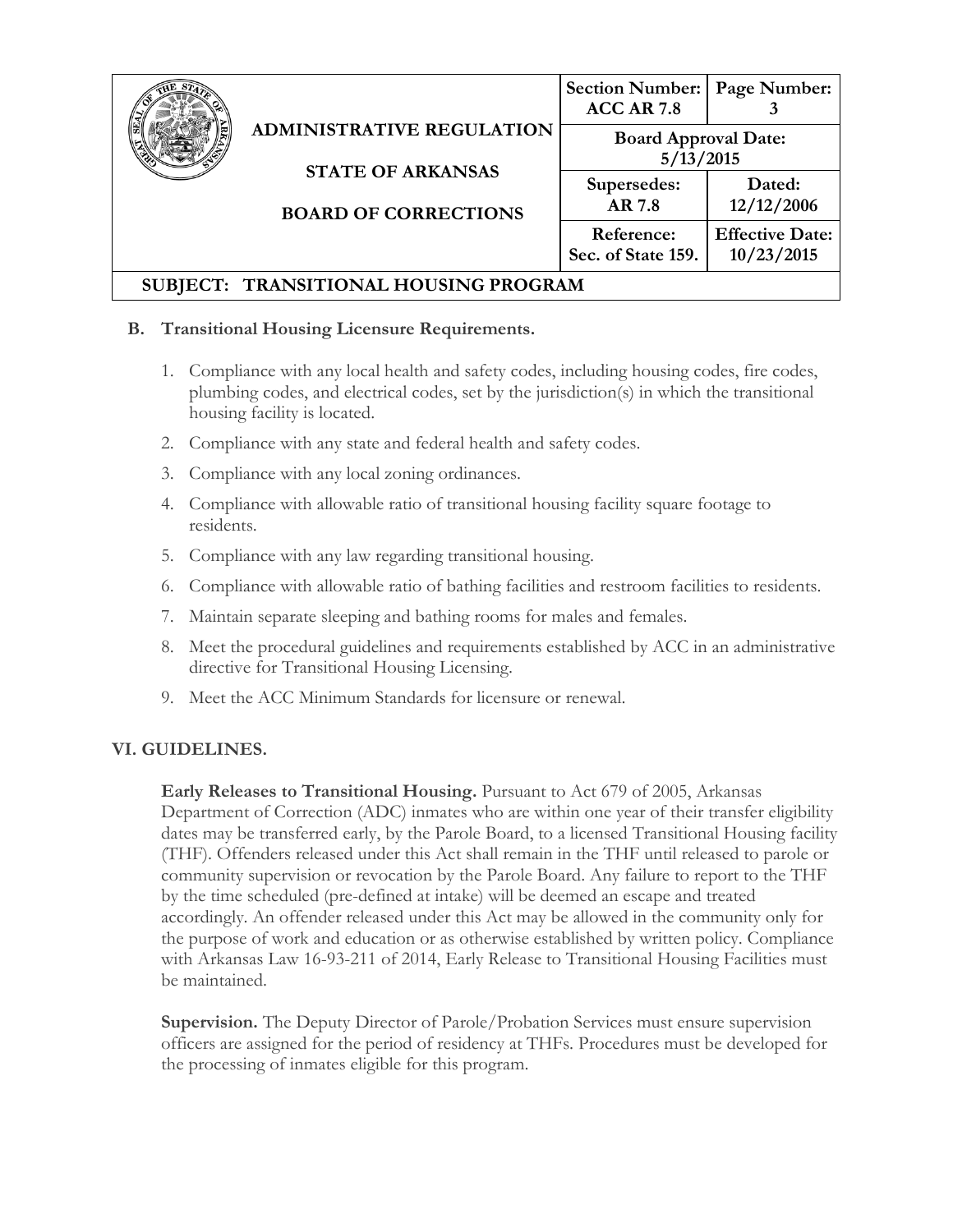|                                       | <b>ADMINISTRATIVE REGULATION</b><br><b>STATE OF ARKANSAS</b><br><b>BOARD OF CORRECTIONS</b> | <b>Section Number:</b><br><b>ACC AR 7.8</b> | Page Number:                         |
|---------------------------------------|---------------------------------------------------------------------------------------------|---------------------------------------------|--------------------------------------|
|                                       |                                                                                             | <b>Board Approval Date:</b><br>5/13/2015    |                                      |
|                                       |                                                                                             | Supersedes:<br>AR 7.8                       | Dated:<br>12/12/2006                 |
|                                       |                                                                                             | Reference:<br>Sec. of State 159.            | <b>Effective Date:</b><br>10/23/2015 |
| SUBJECT: TRANSITIONAL HOUSING PROGRAM |                                                                                             |                                             |                                      |

### **B. Transitional Housing Licensure Requirements.**

- 1. Compliance with any local health and safety codes, including housing codes, fire codes, plumbing codes, and electrical codes, set by the jurisdiction(s) in which the transitional housing facility is located.
- 2. Compliance with any state and federal health and safety codes.
- 3. Compliance with any local zoning ordinances.
- 4. Compliance with allowable ratio of transitional housing facility square footage to residents.
- 5. Compliance with any law regarding transitional housing.
- 6. Compliance with allowable ratio of bathing facilities and restroom facilities to residents.
- 7. Maintain separate sleeping and bathing rooms for males and females.
- 8. Meet the procedural guidelines and requirements established by ACC in an administrative directive for Transitional Housing Licensing.
- 9. Meet the ACC Minimum Standards for licensure or renewal.

## **VI. GUIDELINES.**

**Early Releases to Transitional Housing.** Pursuant to Act 679 of 2005, Arkansas Department of Correction (ADC) inmates who are within one year of their transfer eligibility dates may be transferred early, by the Parole Board, to a licensed Transitional Housing facility (THF). Offenders released under this Act shall remain in the THF until released to parole or community supervision or revocation by the Parole Board. Any failure to report to the THF by the time scheduled (pre-defined at intake) will be deemed an escape and treated accordingly. An offender released under this Act may be allowed in the community only for the purpose of work and education or as otherwise established by written policy. Compliance with Arkansas Law 16-93-211 of 2014, Early Release to Transitional Housing Facilities must be maintained.

**Supervision.** The Deputy Director of Parole/Probation Services must ensure supervision officers are assigned for the period of residency at THFs. Procedures must be developed for the processing of inmates eligible for this program.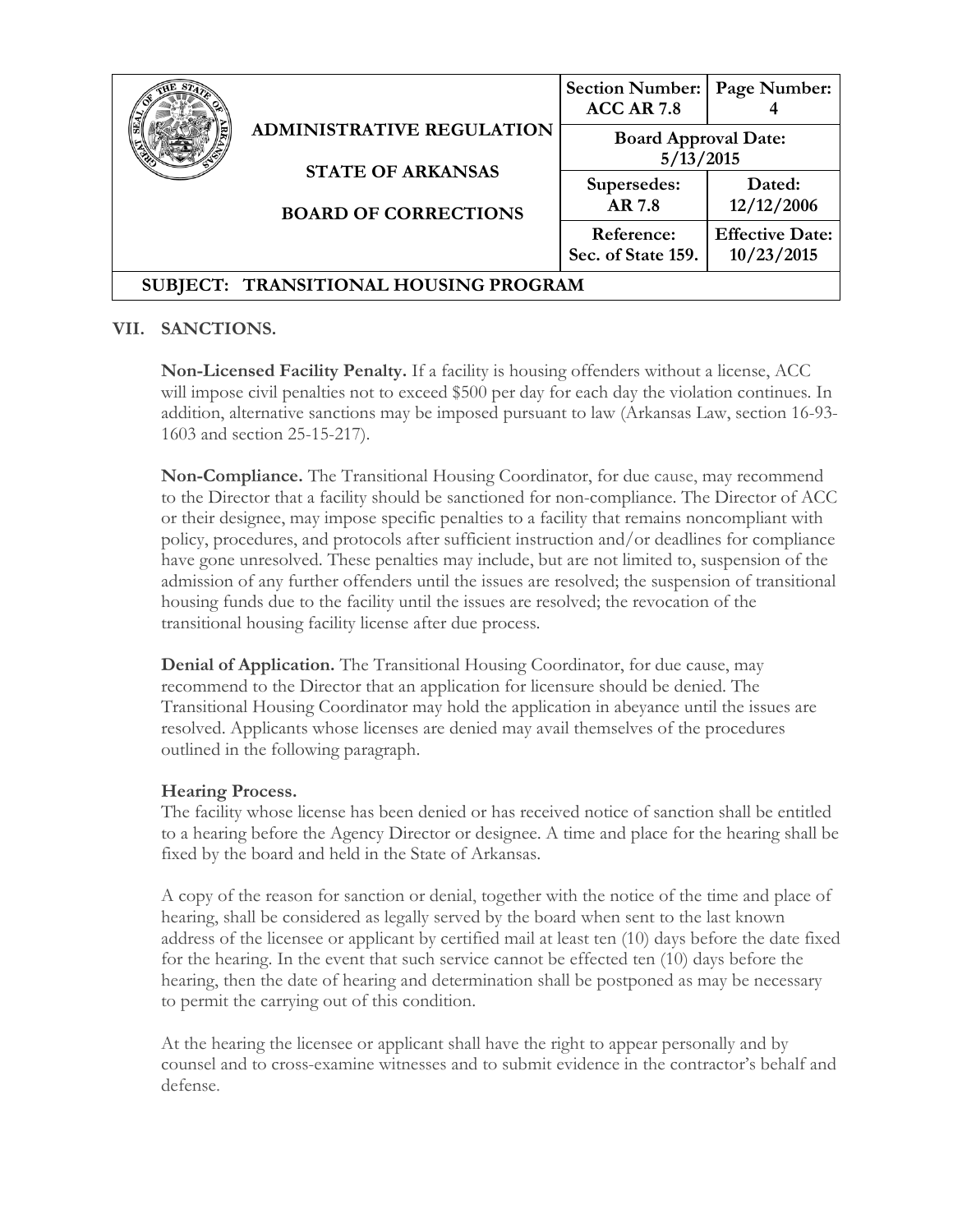|                                       |                                                                                             | <b>Section Number:</b><br><b>ACC AR 7.8</b> | Page Number:                         |
|---------------------------------------|---------------------------------------------------------------------------------------------|---------------------------------------------|--------------------------------------|
|                                       | <b>ADMINISTRATIVE REGULATION</b><br><b>STATE OF ARKANSAS</b><br><b>BOARD OF CORRECTIONS</b> | <b>Board Approval Date:</b><br>5/13/2015    |                                      |
|                                       |                                                                                             | Supersedes:<br>AR 7.8                       | Dated:<br>12/12/2006                 |
|                                       |                                                                                             | Reference:<br>Sec. of State 159.            | <b>Effective Date:</b><br>10/23/2015 |
| SUBJECT: TRANSITIONAL HOUSING PROGRAM |                                                                                             |                                             |                                      |

### **VII. SANCTIONS.**

**Non-Licensed Facility Penalty.** If a facility is housing offenders without a license, ACC will impose civil penalties not to exceed \$500 per day for each day the violation continues. In addition, alternative sanctions may be imposed pursuant to law (Arkansas Law, section 16-93- 1603 and section 25-15-217).

**Non-Compliance.** The Transitional Housing Coordinator, for due cause, may recommend to the Director that a facility should be sanctioned for non-compliance. The Director of ACC or their designee, may impose specific penalties to a facility that remains noncompliant with policy, procedures, and protocols after sufficient instruction and/or deadlines for compliance have gone unresolved. These penalties may include, but are not limited to, suspension of the admission of any further offenders until the issues are resolved; the suspension of transitional housing funds due to the facility until the issues are resolved; the revocation of the transitional housing facility license after due process.

**Denial of Application.** The Transitional Housing Coordinator, for due cause, may recommend to the Director that an application for licensure should be denied. The Transitional Housing Coordinator may hold the application in abeyance until the issues are resolved. Applicants whose licenses are denied may avail themselves of the procedures outlined in the following paragraph.

#### **Hearing Process.**

The facility whose license has been denied or has received notice of sanction shall be entitled to a hearing before the Agency Director or designee. A time and place for the hearing shall be fixed by the board and held in the State of Arkansas.

A copy of the reason for sanction or denial, together with the notice of the time and place of hearing, shall be considered as legally served by the board when sent to the last known address of the licensee or applicant by certified mail at least ten (10) days before the date fixed for the hearing. In the event that such service cannot be effected ten (10) days before the hearing, then the date of hearing and determination shall be postponed as may be necessary to permit the carrying out of this condition.

At the hearing the licensee or applicant shall have the right to appear personally and by counsel and to cross-examine witnesses and to submit evidence in the contractor's behalf and defense.